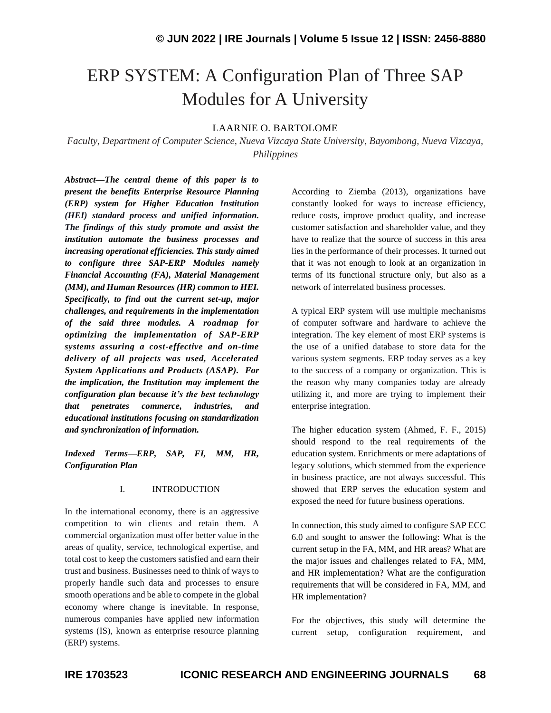# ERP SYSTEM: A Configuration Plan of Three SAP Modules for A University

# LAARNIE O. BARTOLOME

*Faculty, Department of Computer Science, Nueva Vizcaya State University, Bayombong, Nueva Vizcaya, Philippines*

*Abstract—The central theme of this paper is to present the benefits Enterprise Resource Planning (ERP) system for Higher Education Institution (HEI) standard process and unified information. The findings of this study promote and assist the institution automate the business processes and increasing operational efficiencies. This study aimed to configure three SAP-ERP Modules namely Financial Accounting (FA), Material Management (MM), and Human Resources (HR) common to HEI. Specifically, to find out the current set-up, major challenges, and requirements in the implementation of the said three modules. A roadmap for optimizing the implementation of SAP-ERP systems assuring a cost-effective and on-time delivery of all projects was used, Accelerated System Applications and Products (ASAP). For the implication, the Institution may implement the configuration plan because it's the best technology that penetrates commerce, industries, and educational institutions focusing on standardization and synchronization of information.* 

*Indexed Terms—ERP, SAP, FI, MM, HR, Configuration Plan*

### I. INTRODUCTION

In the international economy, there is an aggressive competition to win clients and retain them. A commercial organization must offer better value in the areas of quality, service, technological expertise, and total cost to keep the customers satisfied and earn their trust and business. Businesses need to think of ways to properly handle such data and processes to ensure smooth operations and be able to compete in the global economy where change is inevitable. In response, numerous companies have applied new information systems (IS), known as enterprise resource planning (ERP) systems.

According to Ziemba (2013), organizations have constantly looked for ways to increase efficiency, reduce costs, improve product quality, and increase customer satisfaction and shareholder value, and they have to realize that the source of success in this area lies in the performance of their processes. It turned out that it was not enough to look at an organization in terms of its functional structure only, but also as a network of interrelated business processes.

A typical ERP system will use multiple mechanisms of computer software and hardware to achieve the integration. The key element of most ERP systems is the use of a unified database to store data for the various system segments. ERP today serves as a key to the success of a company or organization. This is the reason why many companies today are already utilizing it, and more are trying to implement their enterprise integration.

The higher education system [\(Ahmed,](https://www.sciencedirect.com/science/article/pii/S1877050915029300#!) F. F., 2015) should respond to the real requirements of the education system. Enrichments or mere adaptations of legacy solutions, which stemmed from the experience in business practice, are not always successful. This showed that ERP serves the education system and exposed the need for future business operations.

In connection, this study aimed to configure SAP ECC 6.0 and sought to answer the following: What is the current setup in the FA, MM, and HR areas? What are the major issues and challenges related to FA, MM, and HR implementation? What are the configuration requirements that will be considered in FA, MM, and HR implementation?

For the objectives, this study will determine the current setup, configuration requirement, and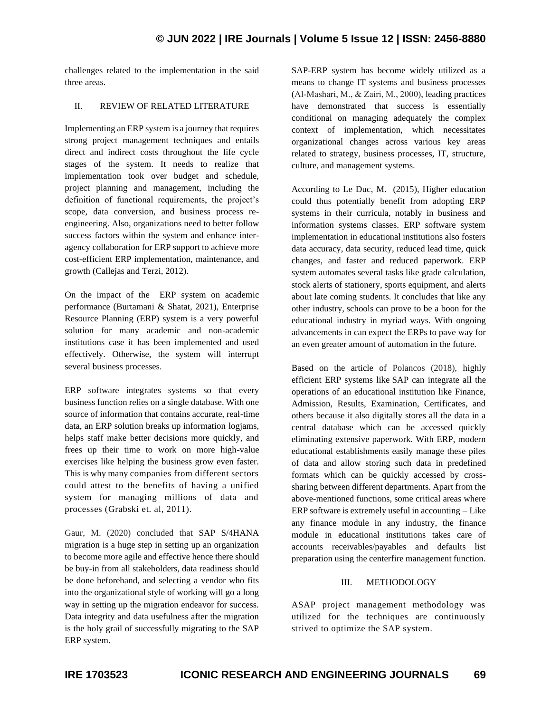challenges related to the implementation in the said three areas.

# II. REVIEW OF RELATED LITERATURE

Implementing an ERP system is a journey that requires strong project management techniques and entails direct and indirect costs throughout the life cycle stages of the system. It needs to realize that implementation took over budget and schedule, project planning and management, including the definition of functional requirements, the project's scope, data conversion, and business process reengineering. Also, organizations need to better follow success factors within the system and enhance interagency collaboration for ERP support to achieve more cost-efficient ERP implementation, maintenance, and growth (Callejas and Terzi, 2012).

On the impact of the ERP system on academic performance (Burtamani & Shatat, 2021), Enterprise Resource Planning (ERP) system is a very powerful solution for many academic and non-academic institutions case it has been implemented and used effectively. Otherwise, the system will interrupt several business processes.

ERP software integrates systems so that every business function relies on a single database. With one source of information that contains accurate, real-time data, an ERP solution breaks up information logjams, helps staff make better decisions more quickly, and frees up their time to work on more high-value exercises like helping the business grow even faster. This is why many companies from different sectors could attest to the benefits of having a unified system for managing millions of data and processes (Grabski et. al, 2011).

Gaur, M. (2020) concluded that SAP S/4HANA migration is a huge step in setting up an organization to become more agile and effective hence there should be buy-in from all stakeholders, data readiness should be done beforehand, and selecting a vendor who fits into the organizational style of working will go a long way in setting up the migration endeavor for success. Data integrity and data usefulness after the migration is the holy grail of successfully migrating to the SAP ERP system.

SAP-ERP system has become widely utilized as a means to change IT systems and business processes (Al‐Mashari, M., & Zairi, M., 2000), leading practices have demonstrated that success is essentially conditional on managing adequately the complex context of implementation, which necessitates organizational changes across various key areas related to strategy, business processes, IT, structure, culture, and management systems.

According to Le Duc, M. (2015), Higher education could thus potentially benefit from adopting ERP systems in their curricula, notably in business and information systems classes. ERP software system implementation in educational institutions also fosters data accuracy, data security, reduced lead time, quick changes, and faster and reduced paperwork. ERP system automates several tasks like grade calculation, stock alerts of stationery, sports equipment, and alerts about late coming students. It concludes that like any other industry, [schools](https://www.cogniscient.in/sap-business-one-erp-for-government-institutions-industry/) can prove to be a boon for the educational industry in myriad ways. With ongoing advancements in can expect the ERPs to pave way for an even greater amount of automation in the future.

Based on the article of Polancos (2018), highly efficient ERP systems like SAP can integrate all the operations of an educational institution like Finance, Admission, Results, Examination, Certificates, and others because it also digitally stores all the data in a central database which can be accessed quickly eliminating extensive paperwork. With ERP, modern educational establishments easily manage these piles of data and allow storing such data in predefined formats which can be quickly accessed by crosssharing between different departments. Apart from the above-mentioned functions, some critical areas where ERP software is extremely useful in accounting – Like any finance module in any industry, the finance module in educational institutions takes care of accounts receivables/payables and defaults list preparation using the centerfire management function.

# III. METHODOLOGY

ASAP project management methodology was utilized for the techniques are continuously strived to optimize the SAP system.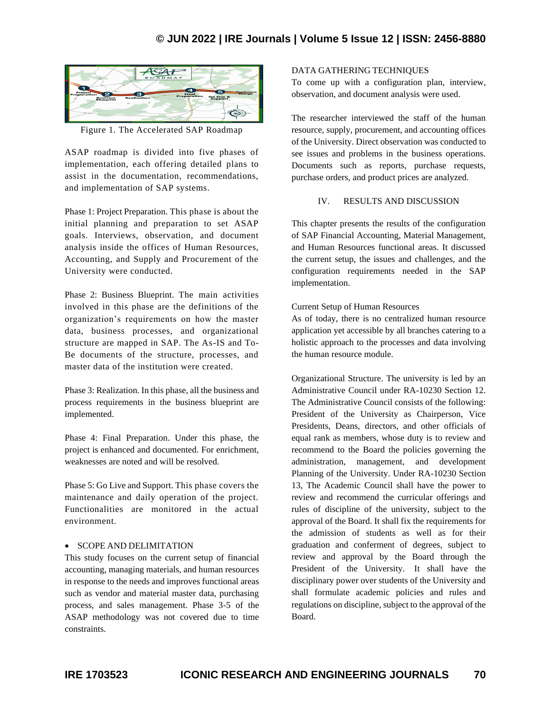

Figure 1. The Accelerated SAP Roadmap

ASAP roadmap is divided into five phases of implementation, each offering detailed plans to assist in the documentation, recommendations, and implementation of SAP systems.

Phase 1: Project Preparation. This phase is about the initial planning and preparation to set ASAP goals. Interviews, observation, and document analysis inside the offices of Human Resources, Accounting, and Supply and Procurement of the University were conducted.

Phase 2: Business Blueprint. The main activities involved in this phase are the definitions of the organization's requirements on how the master data, business processes, and organizational structure are mapped in SAP. The As-IS and To-Be documents of the structure, processes, and master data of the institution were created.

Phase 3: Realization. In this phase, all the business and process requirements in the business blueprint are implemented.

Phase 4: Final Preparation. Under this phase, the project is enhanced and documented. For enrichment, weaknesses are noted and will be resolved.

Phase 5: Go Live and Support. This phase covers the maintenance and daily operation of the project. Functionalities are monitored in the actual environment.

# • SCOPE AND DELIMITATION

This study focuses on the current setup of financial accounting, managing materials, and human resources in response to the needs and improves functional areas such as vendor and material master data, purchasing process, and sales management. Phase 3-5 of the ASAP methodology was not covered due to time constraints.

# DATA GATHERING TECHNIQUES

To come up with a configuration plan, interview, observation, and document analysis were used.

The researcher interviewed the staff of the human resource, supply, procurement, and accounting offices of the University. Direct observation was conducted to see issues and problems in the business operations. Documents such as reports, purchase requests, purchase orders, and product prices are analyzed.

### IV. RESULTS AND DISCUSSION

This chapter presents the results of the configuration of SAP Financial Accounting, Material Management, and Human Resources functional areas. It discussed the current setup, the issues and challenges, and the configuration requirements needed in the SAP implementation.

### Current Setup of Human Resources

As of today, there is no centralized human resource application yet accessible by all branches catering to a holistic approach to the processes and data involving the human resource module.

Organizational Structure. The university is led by an Administrative Council under RA-10230 Section 12. The Administrative Council consists of the following: President of the University as Chairperson, Vice Presidents, Deans, directors, and other officials of equal rank as members, whose duty is to review and recommend to the Board the policies governing the administration, management, and development Planning of the University. Under RA-10230 Section 13, The Academic Council shall have the power to review and recommend the curricular offerings and rules of discipline of the university, subject to the approval of the Board. It shall fix the requirements for the admission of students as well as for their graduation and conferment of degrees, subject to review and approval by the Board through the President of the University. It shall have the disciplinary power over students of the University and shall formulate academic policies and rules and regulations on discipline, subject to the approval of the Board.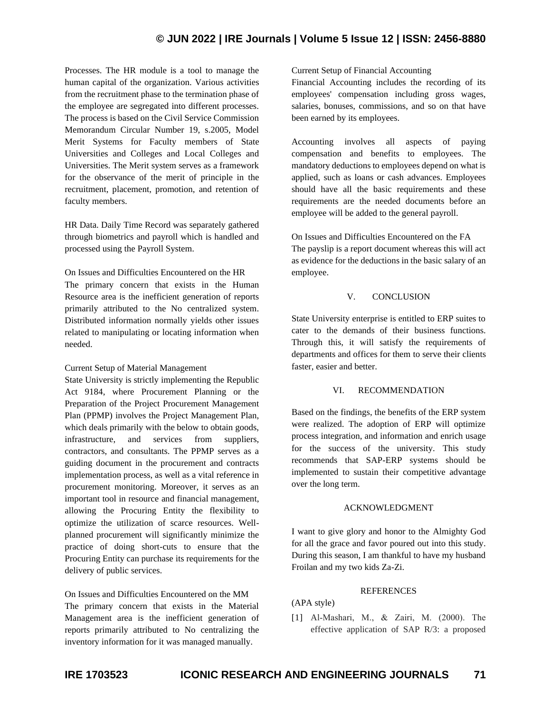# **© JUN 2022 | IRE Journals | Volume 5 Issue 12 | ISSN: 2456-8880**

Processes. The HR module is a tool to manage the human capital of the organization. Various activities from the recruitment phase to the termination phase of the employee are segregated into different processes. The process is based on the Civil Service Commission Memorandum Circular Number 19, s.2005, Model Merit Systems for Faculty members of State Universities and Colleges and Local Colleges and Universities. The Merit system serves as a framework for the observance of the merit of principle in the recruitment, placement, promotion, and retention of faculty members.

HR Data. Daily Time Record was separately gathered through biometrics and payroll which is handled and processed using the Payroll System.

# On Issues and Difficulties Encountered on the HR

The primary concern that exists in the Human Resource area is the inefficient generation of reports primarily attributed to the No centralized system. Distributed information normally yields other issues related to manipulating or locating information when needed.

### Current Setup of Material Management

State University is strictly implementing the Republic Act 9184, where Procurement Planning or the Preparation of the Project Procurement Management Plan (PPMP) involves the Project Management Plan, which deals primarily with the below to obtain goods, infrastructure, and services from suppliers, contractors, and consultants. The PPMP serves as a guiding document in the procurement and contracts implementation process, as well as a vital reference in procurement monitoring. Moreover, it serves as an important tool in resource and financial management, allowing the Procuring Entity the flexibility to optimize the utilization of scarce resources. Wellplanned procurement will significantly minimize the practice of doing short-cuts to ensure that the Procuring Entity can purchase its requirements for the delivery of public services.

On Issues and Difficulties Encountered on the MM The primary concern that exists in the Material Management area is the inefficient generation of reports primarily attributed to No centralizing the inventory information for it was managed manually.

### Current Setup of Financial Accounting

Financial Accounting includes the recording of its employees' compensation including gross wages, salaries, bonuses, commissions, and so on that have been earned by its employees.

Accounting involves all aspects of paying compensation and benefits to employees. The mandatory deductions to employees depend on what is applied, such as loans or cash advances. Employees should have all the basic requirements and these requirements are the needed documents before an employee will be added to the general payroll.

On Issues and Difficulties Encountered on the FA The payslip is a report document whereas this will act as evidence for the deductions in the basic salary of an employee.

# V. CONCLUSION

State University enterprise is entitled to ERP suites to cater to the demands of their business functions. Through this, it will satisfy the requirements of departments and offices for them to serve their clients faster, easier and better.

### VI. RECOMMENDATION

Based on the findings, the benefits of the ERP system were realized. The adoption of ERP will optimize process integration, and information and enrich usage for the success of the university. This study recommends that SAP-ERP systems should be implemented to sustain their competitive advantage over the long term.

### ACKNOWLEDGMENT

I want to give glory and honor to the Almighty God for all the grace and favor poured out into this study. During this season, I am thankful to have my husband Froilan and my two kids Za-Zi.

### REFERENCES

# (APA style)

[1] Al‐Mashari, M., & Zairi, M. (2000). The effective application of SAP R/3: a proposed